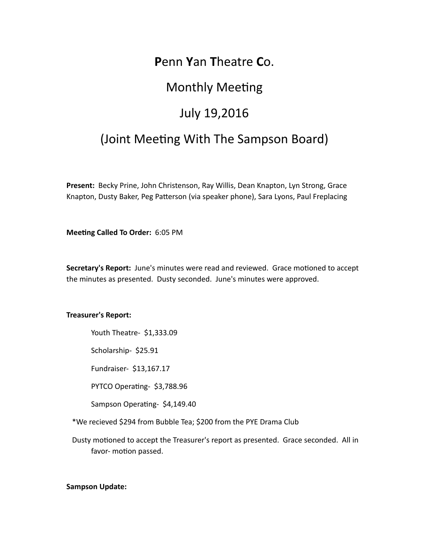## **P**enn **Y**an **T**heatre **C**o.

## **Monthly Meeting**

## July 19,2016

# (Joint Meeting With The Sampson Board)

**Present:** Becky Prine, John Christenson, Ray Willis, Dean Knapton, Lyn Strong, Grace Knapton, Dusty Baker, Peg Patterson (via speaker phone), Sara Lyons, Paul Freplacing

**Meeting Called To Order:** 6:05 PM

**Secretary's Report:** June's minutes were read and reviewed. Grace motioned to accept the minutes as presented. Dusty seconded. June's minutes were approved.

### **Treasurer's Report:**

Youth Theatre- \$1,333.09

Scholarship- \$25.91

Fundraiser- \$13,167.17

PYTCO Operating- \$3,788.96

Sampson Operating- \$4,149.40

\*We recieved \$294 from Bubble Tea; \$200 from the PYE Drama Club

Dusty motioned to accept the Treasurer's report as presented. Grace seconded. All in favor- motion passed.

### **Sampson Update:**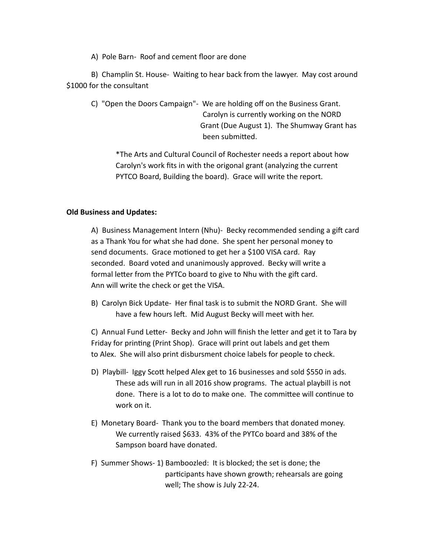A) Pole Barn- Roof and cement floor are done

B) Champlin St. House- Waiting to hear back from the lawyer. May cost around \$1000 for the consultant

C) "Open the Doors Campaign"- We are holding off on the Business Grant. Carolyn is currently working on the NORD Grant (Due August 1). The Shumway Grant has been submitted.

\*The Arts and Cultural Council of Rochester needs a report about how Carolyn's work fits in with the origonal grant (analyzing the current PYTCO Board, Building the board). Grace will write the report.

### **Old Business and Updates:**

A) Business Management Intern (Nhu)- Becky recommended sending a gift card as a Thank You for what she had done. She spent her personal money to send documents. Grace motioned to get her a \$100 VISA card. Ray seconded. Board voted and unanimously approved. Becky will write a formal letter from the PYTCo board to give to Nhu with the gift card. Ann will write the check or get the VISA.

B) Carolyn Bick Update- Her final task is to submit the NORD Grant. She will have a few hours left. Mid August Becky will meet with her.

C) Annual Fund Letter- Becky and John will finish the letter and get it to Tara by Friday for printing (Print Shop). Grace will print out labels and get them to Alex. She will also print disbursment choice labels for people to check.

- D) Playbill- Iggy Scott helped Alex get to 16 businesses and sold \$550 in ads. These ads will run in all 2016 show programs. The actual playbill is not done. There is a lot to do to make one. The committee will continue to work on it.
- E) Monetary Board- Thank you to the board members that donated money. We currently raised \$633. 43% of the PYTCo board and 38% of the Sampson board have donated.
- F) Summer Shows- 1) Bamboozled: It is blocked; the set is done; the participants have shown growth; rehearsals are going well; The show is July 22-24.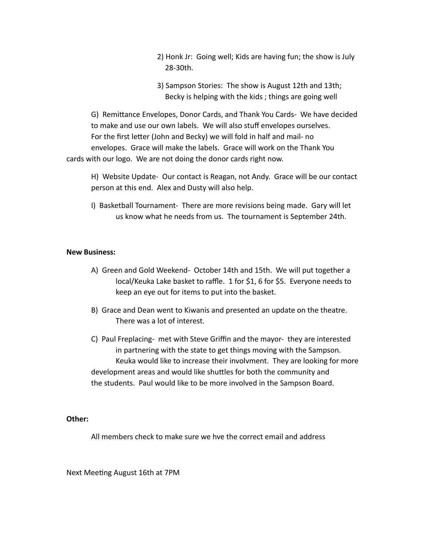- 2) Honk Jr: Going well; Kids are having fun; the show is July 28-30th.
- 3) Sampson Stories: The show is August 12th and 13th; Becky is helping with the kids; things are going well

G) Remittance Envelopes, Donor Cards, and Thank You Cards- We have decided to make and use our own labels. We will also stuff envelopes ourselves. For the first letter (John and Becky) we will fold in half and mail- no envelopes. Grace will make the labels. Grace will work on the Thank You cards with our logo. We are not doing the donor cards right now.

H) Website Update- Our contact is Reagan, not Andy. Grace will be our contact person at this end. Alex and Dusty will also help.

I) Basketball Tournament- There are more revisions being made. Gary will let us know what he needs from us. The tournament is September 24th.

### **New Business:**

- A) Green and Gold Weekend- October 14th and 15th. We will put together a local/Keuka Lake basket to raffle. 1 for \$1, 6 for \$5. Everyone needs to keep an eye out for items to put into the basket.
- B) Grace and Dean went to Kiwanis and presented an update on the theatre. There was a lot of interest.
- C) Paul Freplacing- met with Steve Griffin and the mayor- they are interested in partnering with the state to get things moving with the Sampson. Keuka would like to increase their involvment. They are looking for more development areas and would like shuttles for both the community and the students. Paul would like to be more involved in the Sampson Board.

### **Other:**

All members check to make sure we hye the correct email and address

Next Meeting August 16th at 7PM